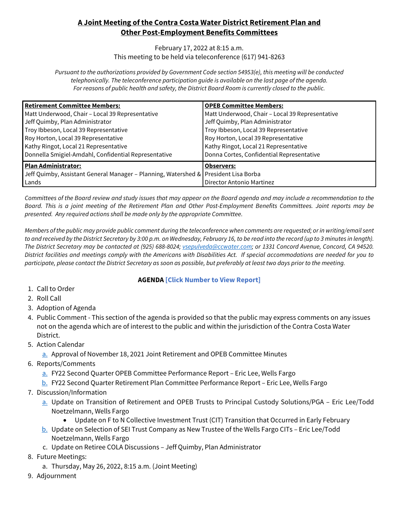# **A Joint Meeting of the Contra Costa Water District Retirement Plan and Other Post-Employment Benefits Committees**

#### February 17, 2022 at 8:15 a.m. This meeting to be held via teleconference (617) 941-8263

*Pursuant to the authorizations provided by Government Code section 54953(e), this meeting will be conducted telephonically. The teleconference participation guide is available on the last page of the agenda. For reasons of public health and safety, the District Board Room is currently closed to the public.*

| <b>Retirement Committee Members:</b>                                                | <b>OPEB Committee Members:</b>                  |
|-------------------------------------------------------------------------------------|-------------------------------------------------|
| Matt Underwood, Chair - Local 39 Representative                                     | Matt Underwood, Chair - Local 39 Representative |
| Jeff Quimby, Plan Administrator                                                     | Jeff Quimby, Plan Administrator                 |
| Troy Ibbeson, Local 39 Representative                                               | Troy Ibbeson, Local 39 Representative           |
| Roy Horton, Local 39 Representative                                                 | Roy Horton, Local 39 Representative             |
| Kathy Ringot, Local 21 Representative                                               | Kathy Ringot, Local 21 Representative           |
| Donnella Smigiel-Amdahl, Confidential Representative                                | Donna Cortes, Confidential Representative       |
| <b>Plan Administrator:</b>                                                          | <b>Observers:</b>                               |
| Jeff Quimby, Assistant General Manager - Planning, Watershed & President Lisa Borba |                                                 |
| Lands                                                                               | Director Antonio Martinez                       |

*Committees of the Board review and study issues that may appear on the Board agenda and may include a recommendation to the Board. This is a joint meeting of the Retirement Plan and Other Post-Employment Benefits Committees. Joint reports may be presented. Any required actions shall be made only by the appropriate Committee.*

*Members of the public may provide public comment during the teleconference when comments are requested; or in writing/email sent to and received by the District Secretary by 3:00 p.m. on Wednesday, February 16, to be read into the record (up to 3 minutes in length). The District Secretary may be contacted at (925) 688-8024[; vsepulveda@ccwater.com;](mailto:vsepulveda@ccwater.com) or 1331 Concord Avenue, Concord, CA 94520. District facilities and meetings comply with the Americans with Disabilities Act. If special accommodations are needed for you to participate, please contact the District Secretary as soon as possible, but preferably at least two days prior to the meeting.*

### **AGENDA [Click Number to View Report]**

- 1. Call to Order
- 2. Roll Call
- 3. Adoption of Agenda
- 4. Public Comment This section of the agenda is provided so that the public may express comments on any issues not on the agenda which are of interest to the public and within the jurisdiction of the Contra Costa Water District.
- 5. Action Calendar
	- [a.](https://www.ccwater.com/DocumentCenter/View/10721/5a-Mintues-from-111821-Meeting) Approval of November 18, 2021 Joint Retirement and OPEB Committee Minutes
- 6. Reports/Comments
	- [a.](https://www.ccwater.com/DocumentCenter/View/10722/6a-2d-Qtr-OPEB-Performance-Rpt-w-Attachments) FY22 Second Quarter OPEB Committee Performance Report Eric Lee, Wells Fargo
	- [b.](https://www.ccwater.com/DocumentCenter/View/10723/6b-2d-Qtr-RET-Performance-Rpt-w-Attachments) FY22 Second Quarter Retirement Plan Committee Performance Report Eric Lee, Wells Fargo
- 7. Discussion/Information
	- [a.](https://www.ccwater.com/DocumentCenter/View/10724/7a-Update-on-Transition-to-Principal) Update on Transition of Retirement and OPEB Trusts to Principal Custody Solutions/PGA Eric Lee/Todd Noetzelmann, Wells Fargo
		- Update on F to N Collective Investment Trust (CIT) Transition that Occurred in Early February
	- [b.](https://www.ccwater.com/DocumentCenter/View/10725/7b-Update-on-Selection-of-SEI-Trust-Co) Update on Selection of SEI Trust Company as New Trustee of the Wells Fargo CITs Eric Lee/Todd Noetzelmann, Wells Fargo
	- c. Update on Retiree COLA Discussions Jeff Quimby, Plan Administrator
- 8. Future Meetings:
	- a. Thursday, May 26, 2022, 8:15 a.m. (Joint Meeting)
- 9. Adjournment